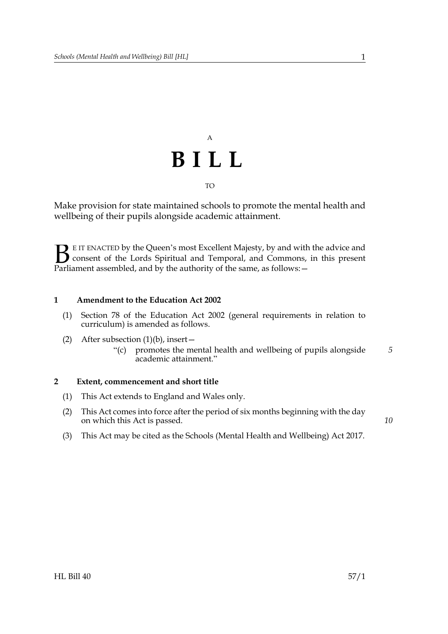

Make provision for state maintained schools to promote the mental health and wellbeing of their pupils alongside academic attainment.

E IT ENACTED by the Queen's most Excellent Majesty, by and with the advice and consent of the Lords Spiritual and Temporal, and Commons, in this present **B** E IT ENACTED by the Queen's most Excellent Majesty, by and with consent of the Lords Spiritual and Temporal, and Commons, Parliament assembled, and by the authority of the same, as follows:  $-$ 

## **1 Amendment to the Education Act 2002**

- (1) Section 78 of the Education Act 2002 (general requirements in relation to curriculum) is amended as follows.
- (2) After subsection  $(1)(b)$ , insert
	- "(c) promotes the mental health and wellbeing of pupils alongside academic attainment." *5*

## **2 Extent, commencement and short title**

- (1) This Act extends to England and Wales only.
- (2) This Act comes into force after the period of six months beginning with the day on which this Act is passed.
- (3) This Act may be cited as the Schools (Mental Health and Wellbeing) Act 2017.

*10*